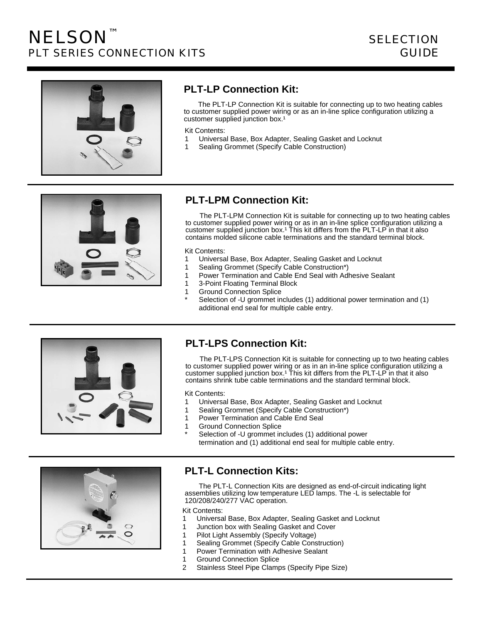

# **PLT-LP Connection Kit:**

The PLT-LP Connection Kit is suitable for connecting up to two heating cables to customer supplied power wiring or as an in-line splice configuration utilizing a customer supplied junction box.<sup>1</sup>

Kit Contents:

- 1 Universal Base, Box Adapter, Sealing Gasket and Locknut
- 1 Sealing Grommet (Specify Cable Construction)



# **PLT-LPM Connection Kit:**

The PLT-LPM Connection Kit is suitable for connecting up to two heating cables to customer supplied power wiring or as in an in-line splice configuration utilizing a customer supplied junction box.<sup>1</sup> This kit differs from the PLT-LP in that it also contains molded silicone cable terminations and the standard terminal block.

#### Kit Contents:

- 1 Universal Base, Box Adapter, Sealing Gasket and Locknut
- 1 Sealing Grommet (Specify Cable Construction\*)
- 1 Power Termination and Cable End Seal with Adhesive Sealant
- 1 3-Point Floating Terminal Block
- 1 Ground Connection Splice
- Selection of -U grommet includes (1) additional power termination and (1) additional end seal for multiple cable entry.



## **PLT-LPS Connection Kit:**

The PLT-LPS Connection Kit is suitable for connecting up to two heating cables to customer supplied power wiring or as in an in-line splice configuration utilizing a customer supplied junction box.<sup>1</sup> This kit differs from the PLT-LP in that it also contains shrink tube cable terminations and the standard terminal block.

Kit Contents:

- 1 Universal Base, Box Adapter, Sealing Gasket and Locknut
- 1 Sealing Grommet (Specify Cable Construction\*)
- 1 Power Termination and Cable End Seal
- 1 Ground Connection Splice
- Selection of -U grommet includes (1) additional power termination and (1) additional end seal for multiple cable entry.



## **PLT-L Connection Kits:**

The PLT-L Connection Kits are designed as end-of-circuit indicating light assemblies utilizing low temperature LED lamps. The -L is selectable for 120/208/240/277 VAC operation.

Kit Contents:

- 1 Universal Base, Box Adapter, Sealing Gasket and Locknut
- 1 Junction box with Sealing Gasket and Cover
- 1 Pilot Light Assembly (Specify Voltage)
- 1 Sealing Grommet (Specify Cable Construction)
- 1 Power Termination with Adhesive Sealant
- 1 Ground Connection Splice
- 2 Stainless Steel Pipe Clamps (Specify Pipe Size)